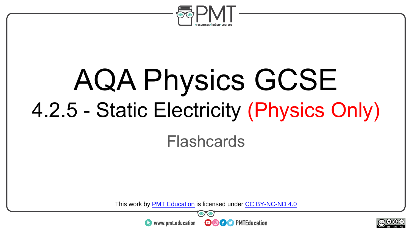

# AQA Physics GCSE 4.2.5 - Static Electricity (Physics Only)

#### Flashcards

This work by <u>PMT Education</u> is licensed under CC BY-NC-ND 4.0<br>
www.pmt.education **in the COOC** PMTEducation



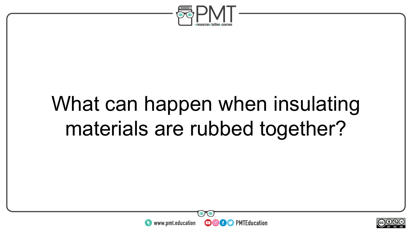

### What can happen when insulating materials are rubbed together?



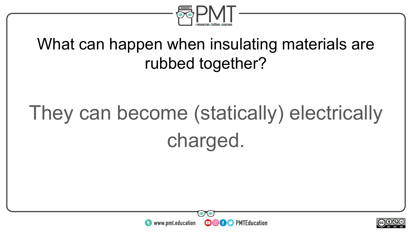

#### What can happen when insulating materials are rubbed together?

### They can become (statically) electrically charged.



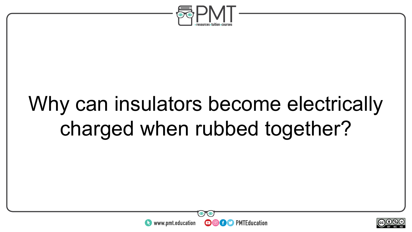

### Why can insulators become electrically charged when rubbed together?



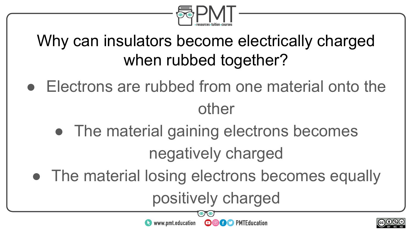

#### Why can insulators become electrically charged when rubbed together?

- Electrons are rubbed from one material onto the other
	- The material gaining electrons becomes negatively charged
	- The material losing electrons becomes equally

www.pmt.education

positively charged

**OOOO** PMTEducation

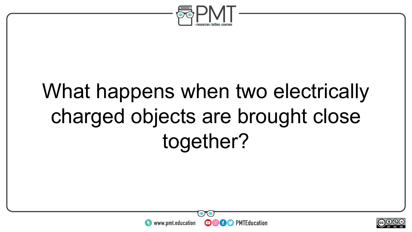

### What happens when two electrically charged objects are brought close together?



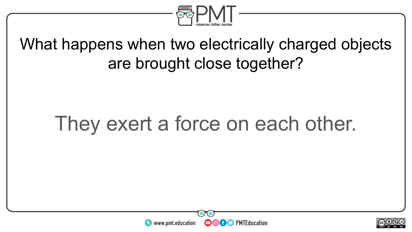

#### What happens when two electrically charged objects are brought close together?

### They exert a force on each other.



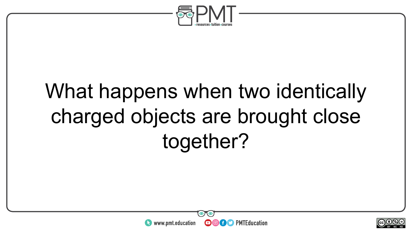

### What happens when two identically charged objects are brought close together?



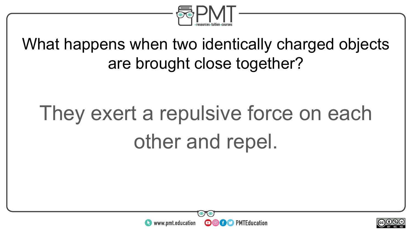

What happens when two identically charged objects are brought close together?

## They exert a repulsive force on each other and repel.



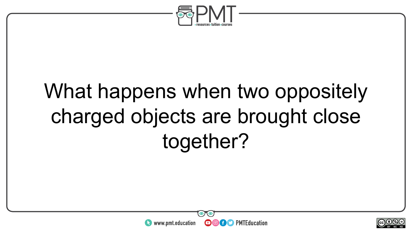

### What happens when two oppositely charged objects are brought close together?



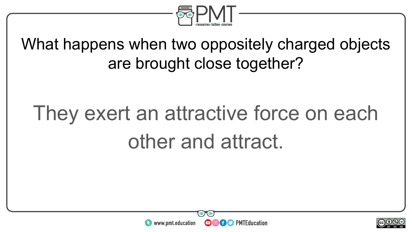

What happens when two oppositely charged objects are brought close together?

### They exert an attractive force on each other and attract.



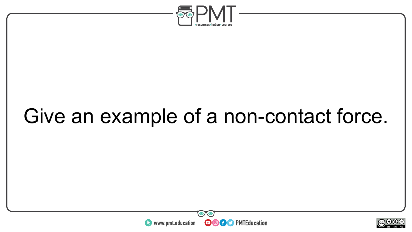

### Give an example of a non-contact force.



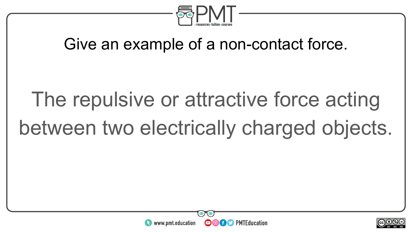

#### Give an example of a non-contact force.

# The repulsive or attractive force acting between two electrically charged objects.



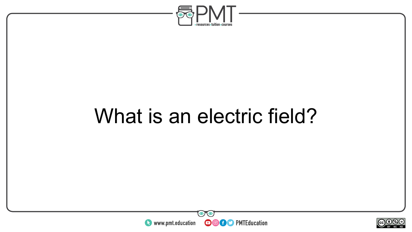

### What is an electric field?



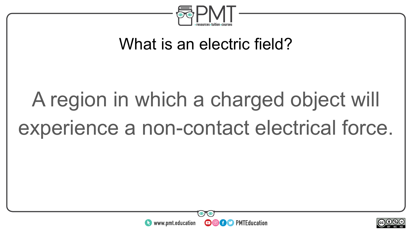

#### What is an electric field?

# A region in which a charged object will experience a non-contact electrical force.



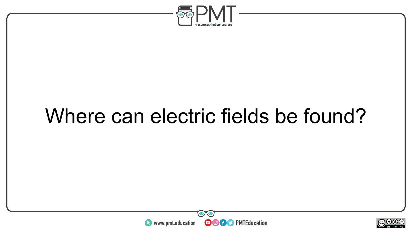

### Where can electric fields be found?



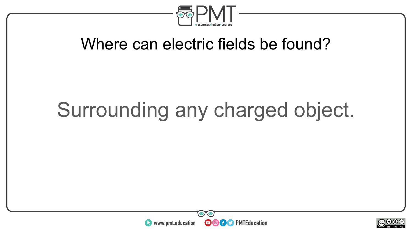

#### Where can electric fields be found?

### Surrounding any charged object.



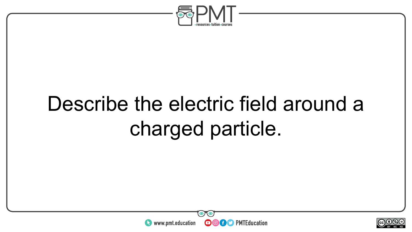

### Describe the electric field around a charged particle.



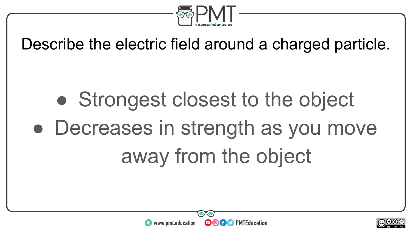

Describe the electric field around a charged particle.

# • Strongest closest to the object • Decreases in strength as you move away from the object



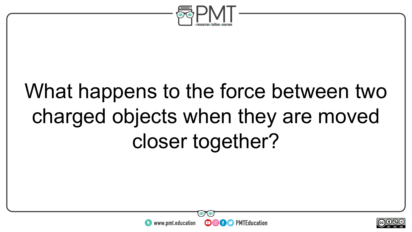

### What happens to the force between two charged objects when they are moved closer together?



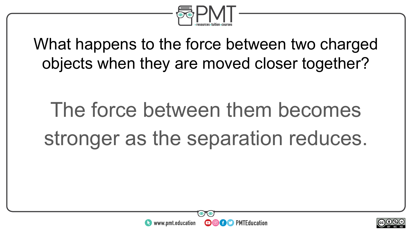

What happens to the force between two charged objects when they are moved closer together?

# The force between them becomes stronger as the separation reduces.



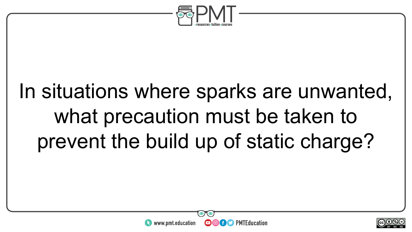

### In situations where sparks are unwanted, what precaution must be taken to prevent the build up of static charge?